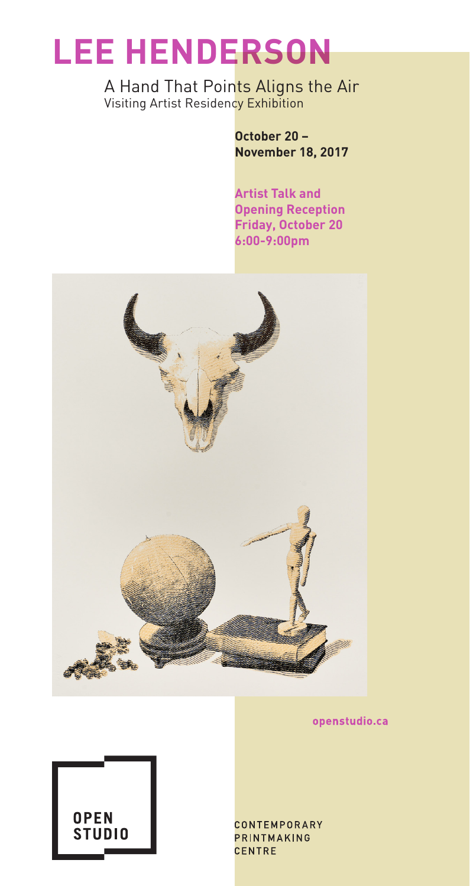## **LEE HENDERSON**

A Hand That Points Aligns the Air Visiting Artist Residency Exhibition

> **October 20 – November 18, 2017**

**Artist Talk and Opening Reception Friday, October 20 6:00-9:00pm**



openstudio.ca



CONTEMPORARY **PRINTMAKING** CENTRE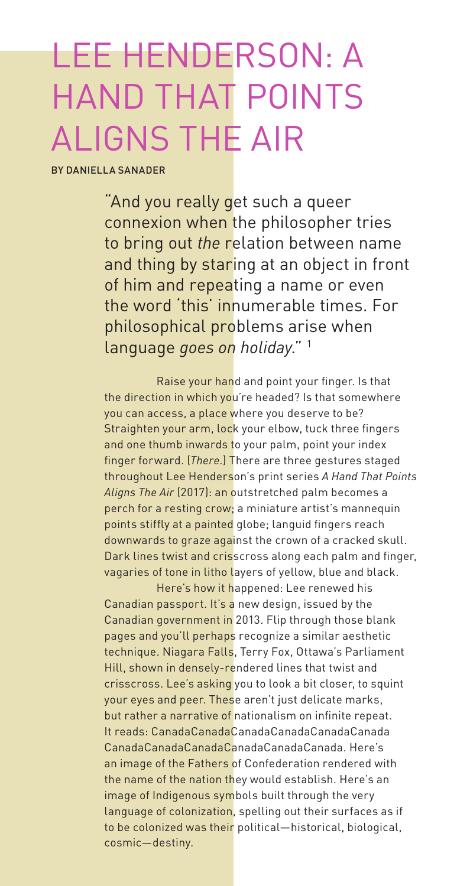# LEE HENDERSON: A HAND THAT POINTS ALIGNS THE AIR

BY DANIELLA SANADER

"And you really get such a queer connexion when the philosopher tries to bring out *the* relation between name and thing by staring at an object in front of him and repeating a name or even the word 'this' innumerable times. For philosophical problems arise when language *goes on holiday*." 1

Raise your hand and point your finger. Is that the direction in which you're headed? Is that somewhere you can access, a place where you deserve to be? Straighten your arm, lock your elbow, tuck three fingers and one thumb inwards to your palm, point your index finger forward. (*There*.) There are three gestures staged throughout Lee Henderson's print series *A Hand That Points Aligns The Air* (2017): an outstretched palm becomes a perch for a resting crow; a miniature artist's mannequin points stiffly at a painted globe; languid fingers reach downwards to graze against the crown of a cracked skull. Dark lines twist and crisscross along each palm and finger, vagaries of tone in litho layers of yellow, blue and black.

Here's how it happened: Lee renewed his Canadian passport. It's a new design, issued by the Canadian government in 2013. Flip through those blank pages and you'll perhaps recognize a similar aesthetic technique. Niagara Falls, Terry Fox, Ottawa's Parliament Hill, shown in densely-rendered lines that twist and crisscross. Lee's asking you to look a bit closer, to squint your eyes and peer. These aren't just delicate marks, but rather a narrative of nationalism on infinite repeat. It reads: CanadaCanadaCanadaCanadaCanadaCanada CanadaCanadaCanadaCanadaCanadaCanada. Here's an image of the Fathers of Confederation rendered with the name of the nation they would establish. Here's an image of Indigenous symbols built through the very language of colonization, spelling out their surfaces as if to be colonized was their political—historical, biological, cosmic—destiny.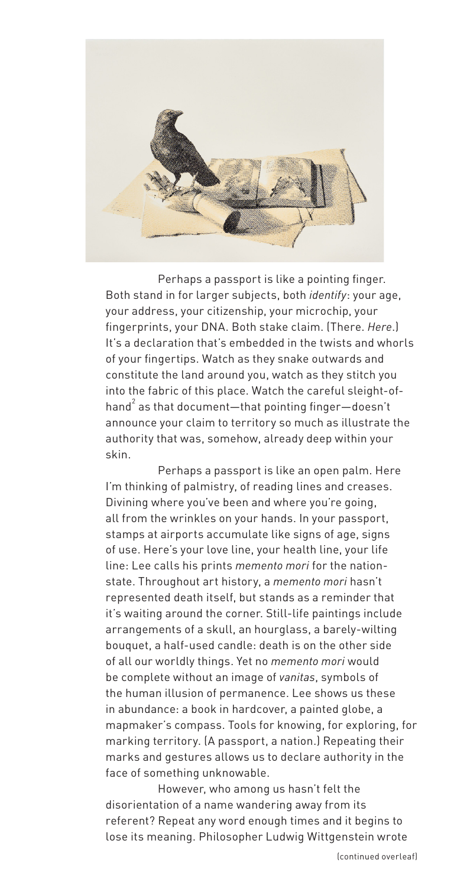

Perhaps a passport is like a pointing finger. Both stand in for larger subjects, both *identify*: your age, your address, your citizenship, your microchip, your fingerprints, your DNA. Both stake claim. (There. *Here*.) It's a declaration that's embedded in the twists and whorls of your fingertips. Watch as they snake outwards and constitute the land around you, watch as they stitch you into the fabric of this place. Watch the careful sleight-ofhand $^2$  as that document—that pointing finger—doesn't announce your claim to territory so much as illustrate the authority that was, somehow, already deep within your skin.

Perhaps a passport is like an open palm. Here I'm thinking of palmistry, of reading lines and creases. Divining where you've been and where you're going, all from the wrinkles on your hands. In your passport, stamps at airports accumulate like signs of age, signs of use. Here's your love line, your health line, your life line: Lee calls his prints *memento mori* for the nationstate. Throughout art history, a *memento mori* hasn't represented death itself, but stands as a reminder that it's waiting around the corner. Still-life paintings include arrangements of a skull, an hourglass, a barely-wilting bouquet, a half-used candle: death is on the other side of all our worldly things. Yet no *memento mori* would be complete without an image of *vanitas*, symbols of the human illusion of permanence. Lee shows us these in abundance: a book in hardcover, a painted globe, a mapmaker's compass. Tools for knowing, for exploring, for marking territory. (A passport, a nation.) Repeating their marks and gestures allows us to declare authority in the face of something unknowable.

However, who among us hasn't felt the disorientation of a name wandering away from its referent? Repeat any word enough times and it begins to lose its meaning. Philosopher Ludwig Wittgenstein wrote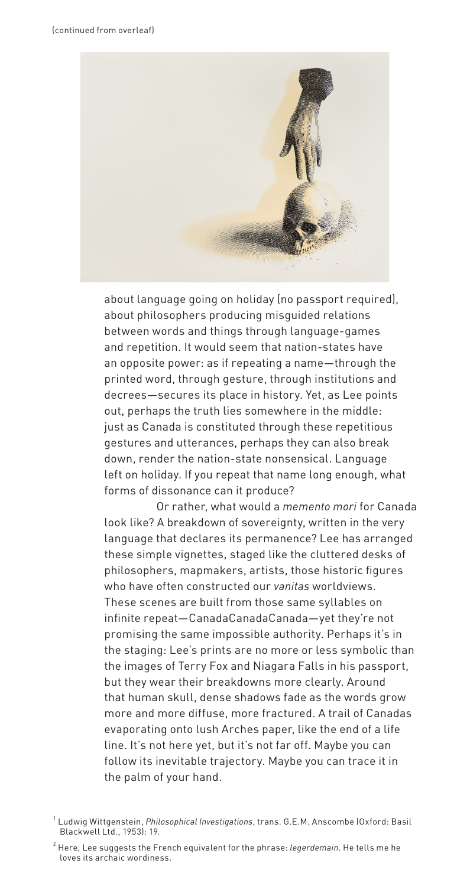

about language going on holiday (no passport required), about philosophers producing misguided relations between words and things through language-games and repetition. It would seem that nation-states have an opposite power: as if repeating a name—through the printed word, through gesture, through institutions and decrees—secures its place in history. Yet, as Lee points out, perhaps the truth lies somewhere in the middle: just as Canada is constituted through these repetitious gestures and utterances, perhaps they can also break down, render the nation-state nonsensical. Language left on holiday. If you repeat that name long enough, what forms of dissonance can it produce?

Or rather, what would a *memento mori* for Canada look like? A breakdown of sovereignty, written in the very language that declares its permanence? Lee has arranged these simple vignettes, staged like the cluttered desks of philosophers, mapmakers, artists, those historic figures who have often constructed our *vanitas* worldviews. These scenes are built from those same syllables on infinite repeat—CanadaCanadaCanada—yet they're not promising the same impossible authority. Perhaps it's in the staging: Lee's prints are no more or less symbolic than the images of Terry Fox and Niagara Falls in his passport, but they wear their breakdowns more clearly. Around that human skull, dense shadows fade as the words grow more and more diffuse, more fractured. A trail of Canadas evaporating onto lush Arches paper, like the end of a life line. It's not here yet, but it's not far off. Maybe you can follow its inevitable trajectory. Maybe you can trace it in the palm of your hand.

<sup>1</sup> Ludwig Wittgenstein, *Philosophical Investigations*, trans. G.E.M. Anscombe (Oxford: Basil Blackwell Ltd., 1953): 19.

<sup>2</sup> Here, Lee suggests the French equivalent for the phrase: *legerdemain*. He tells me he loves its archaic wordiness.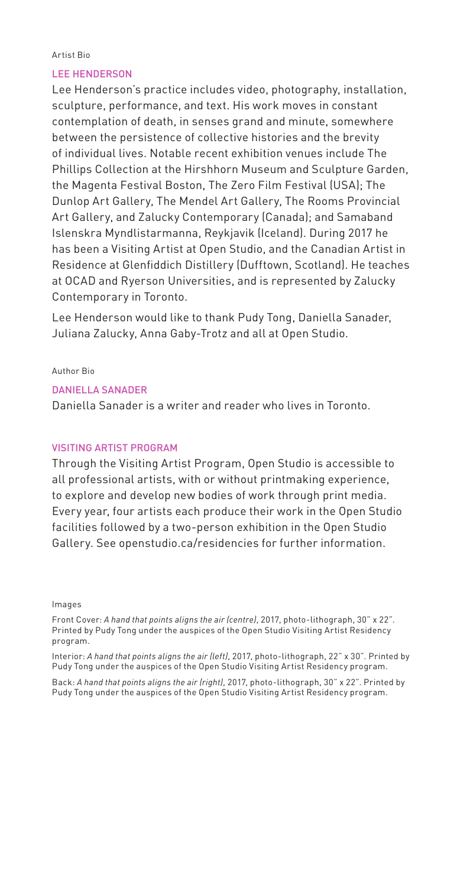#### Artist Bio

## LEE HENDERSON

Lee Henderson's practice includes video, photography, installation, sculpture, performance, and text. His work moves in constant contemplation of death, in senses grand and minute, somewhere between the persistence of collective histories and the brevity of individual lives. Notable recent exhibition venues include The Phillips Collection at the Hirshhorn Museum and Sculpture Garden, the Magenta Festival Boston, The Zero Film Festival (USA); The Dunlop Art Gallery, The Mendel Art Gallery, The Rooms Provincial Art Gallery, and Zalucky Contemporary (Canada); and Samaband Islenskra Myndlistarmanna, Reykjavik (Iceland). During 2017 he has been a Visiting Artist at Open Studio, and the Canadian Artist in Residence at Glenfiddich Distillery (Dufftown, Scotland). He teaches at OCAD and Ryerson Universities, and is represented by Zalucky Contemporary in Toronto.

Lee Henderson would like to thank Pudy Tong, Daniella Sanader, Juliana Zalucky, Anna Gaby-Trotz and all at Open Studio.

Author Bio

## DANIELLA SANADER

Daniella Sanader is a writer and reader who lives in Toronto.

## VISITING ARTIST PROGRAM

Through the Visiting Artist Program, Open Studio is accessible to all professional artists, with or without printmaking experience, to explore and develop new bodies of work through print media. Every year, four artists each produce their work in the Open Studio facilities followed by a two-person exhibition in the Open Studio Gallery. See openstudio.ca/residencies for further information.

#### Images

Front Cover: *A hand that points aligns the air (centre)*, 2017, photo-lithograph, 30" x 22". Printed by Pudy Tong under the auspices of the Open Studio Visiting Artist Residency program.

Interior: *A hand that points aligns the air (left)*, 2017, photo-lithograph, 22" x 30". Printed by Pudy Tong under the auspices of the Open Studio Visiting Artist Residency program.

Back: *A hand that points aligns the air (right)*, 2017, photo-lithograph, 30" x 22". Printed by Pudy Tong under the auspices of the Open Studio Visiting Artist Residency program.